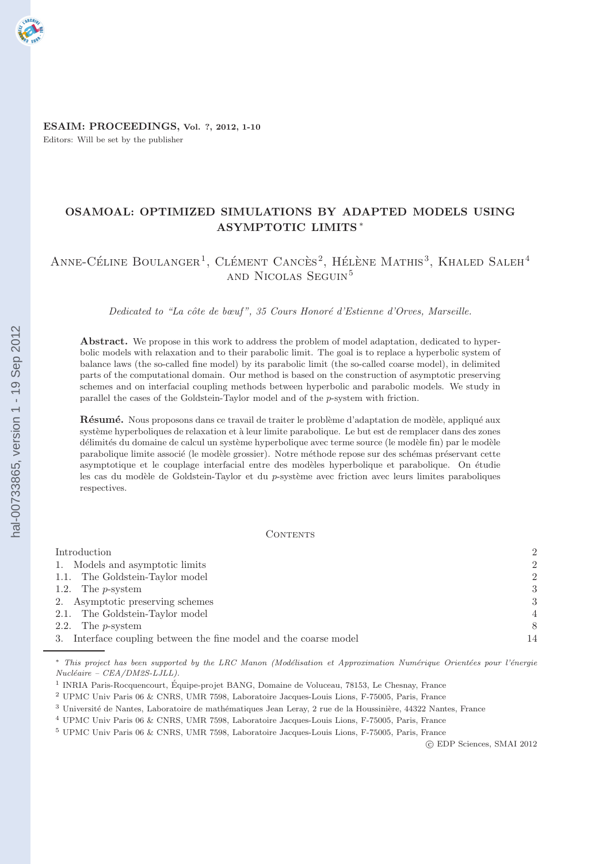ESAIM: PROCEEDINGS, Vol. ?, 2012, 1-10 Editors: Will be set by the publisher

# OSAMOAL: OPTIMIZED SIMULATIONS BY ADAPTED MODELS USING ASYMPTOTIC LIMITS <sup>∗</sup>

# ANNE-CÉLINE BOULANGER<sup>1</sup>, CLÉMENT CANCÈS<sup>2</sup>, HÉLÈNE MATHIS<sup>3</sup>, KHALED SALEH<sup>4</sup> and Nicolas Seguin<sup>5</sup>

*Dedicated to "La cˆote de bœuf ", 35 Cours Honor´e d'Estienne d'Orves, Marseille.*

Abstract. We propose in this work to address the problem of model adaptation, dedicated to hyperbolic models with relaxation and to their parabolic limit. The goal is to replace a hyperbolic system of balance laws (the so-called fine model) by its parabolic limit (the so-called coarse model), in delimited parts of the computational domain. Our method is based on the construction of asymptotic preserving schemes and on interfacial coupling methods between hyperbolic and parabolic models. We study in parallel the cases of the Goldstein-Taylor model and of the p-system with friction.

Résumé. Nous proposons dans ce travail de traiter le problème d'adaptation de modèle, appliqué aux système hyperboliques de relaxation et à leur limite parabolique. Le but est de remplacer dans des zones délimités du domaine de calcul un système hyperbolique avec terme source (le modèle fin) par le modèle parabolique limite associé (le modèle grossier). Notre méthode repose sur des schémas préservant cette asymptotique et le couplage interfacial entre des modèles hyperbolique et parabolique. On étudie les cas du modèle de Goldstein-Taylor et du p-système avec friction avec leurs limites paraboliques respectives.

#### CONTENTS

| Introduction                                                      | $\mathcal{D}$  |
|-------------------------------------------------------------------|----------------|
| 1. Models and asymptotic limits                                   | $\overline{2}$ |
| 1.1. The Goldstein-Taylor model                                   | $\overline{2}$ |
| 1.2. The <i>p</i> -system                                         | 3              |
| 2. Asymptotic preserving schemes                                  | 3              |
| 2.1. The Goldstein-Taylor model                                   | $\overline{4}$ |
| 2.2. The $p$ -system                                              | 8              |
| 3. Interface coupling between the fine model and the coarse model | 14             |

<sup>4</sup> UPMC Univ Paris 06 & CNRS, UMR 7598, Laboratoire Jacques-Louis Lions, F-75005, Paris, France

c EDP Sciences, SMAI 2012

<sup>\*</sup> This project has been supported by the LRC Manon (Modélisation et Approximation Numérique Orientées pour l'énergie  $Nucleaire - CEA/DM2S\text{-}LJLL).$ 

<sup>&</sup>lt;sup>1</sup> INRIA Paris-Rocquencourt, Équipe-projet BANG, Domaine de Voluceau, 78153, Le Chesnay, France

<sup>2</sup> UPMC Univ Paris 06 & CNRS, UMR 7598, Laboratoire Jacques-Louis Lions, F-75005, Paris, France

<sup>&</sup>lt;sup>3</sup> Université de Nantes, Laboratoire de mathématiques Jean Leray, 2 rue de la Houssinière, 44322 Nantes, France

<sup>5</sup> UPMC Univ Paris 06 & CNRS, UMR 7598, Laboratoire Jacques-Louis Lions, F-75005, Paris, France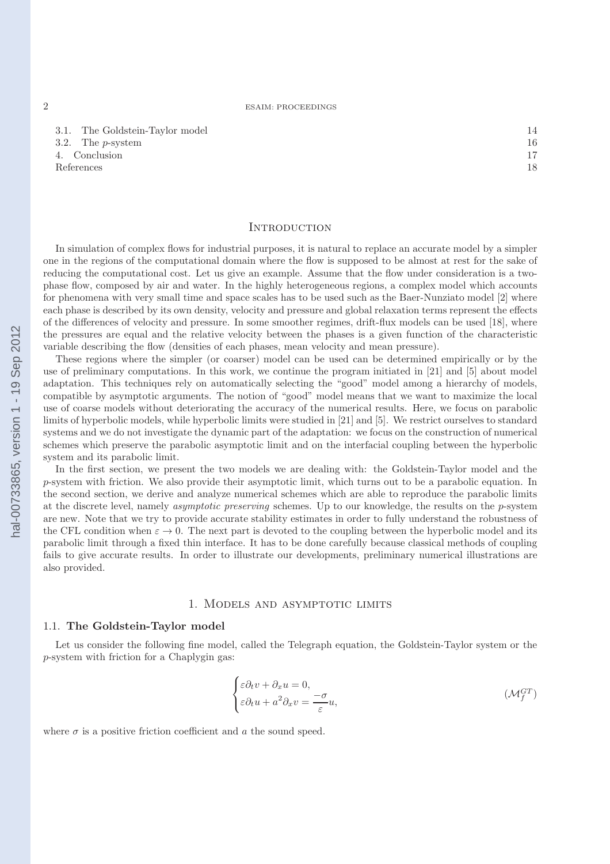3.1. The Goldstein-Taylor model 14 3.2. The  $p$ -system 16 4. Conclusion 17 References 18

- 
- 

### **INTRODUCTION**

In simulation of complex flows for industrial purposes, it is natural to replace an accurate model by a simpler one in the regions of the computational domain where the flow is supposed to be almost at rest for the sake of reducing the computational cost. Let us give an example. Assume that the flow under consideration is a twophase flow, composed by air and water. In the highly heterogeneous regions, a complex model which accounts for phenomena with very small time and space scales has to be used such as the Baer-Nunziato model [2] where each phase is described by its own density, velocity and pressure and global relaxation terms represent the effects of the differences of velocity and pressure. In some smoother regimes, drift-flux models can be used [18], where the pressures are equal and the relative velocity between the phases is a given function of the characteristic variable describing the flow (densities of each phases, mean velocity and mean pressure).

These regions where the simpler (or coarser) model can be used can be determined empirically or by the use of preliminary computations. In this work, we continue the program initiated in [21] and [5] about model adaptation. This techniques rely on automatically selecting the "good" model among a hierarchy of models, compatible by asymptotic arguments. The notion of "good" model means that we want to maximize the local use of coarse models without deteriorating the accuracy of the numerical results. Here, we focus on parabolic limits of hyperbolic models, while hyperbolic limits were studied in [21] and [5]. We restrict ourselves to standard systems and we do not investigate the dynamic part of the adaptation: we focus on the construction of numerical schemes which preserve the parabolic asymptotic limit and on the interfacial coupling between the hyperbolic system and its parabolic limit.

In the first section, we present the two models we are dealing with: the Goldstein-Taylor model and the p-system with friction. We also provide their asymptotic limit, which turns out to be a parabolic equation. In the second section, we derive and analyze numerical schemes which are able to reproduce the parabolic limits at the discrete level, namely *asymptotic preserving* schemes. Up to our knowledge, the results on the p-system are new. Note that we try to provide accurate stability estimates in order to fully understand the robustness of the CFL condition when  $\varepsilon \to 0$ . The next part is devoted to the coupling between the hyperbolic model and its parabolic limit through a fixed thin interface. It has to be done carefully because classical methods of coupling fails to give accurate results. In order to illustrate our developments, preliminary numerical illustrations are also provided.

#### 1. Models and asymptotic limits

### 1.1. The Goldstein-Taylor model

Let us consider the following fine model, called the Telegraph equation, the Goldstein-Taylor system or the p-system with friction for a Chaplygin gas:

$$
\begin{cases}\n\varepsilon \partial_t v + \partial_x u = 0, \\
\varepsilon \partial_t u + a^2 \partial_x v = -\frac{\sigma}{\varepsilon} u,\n\end{cases} \tag{M_f^{GT}}
$$

where  $\sigma$  is a positive friction coefficient and a the sound speed.

nal-00733865, version 1 - 19 Sep 2012 hal-00733865, version 1 - 19 Sep 2012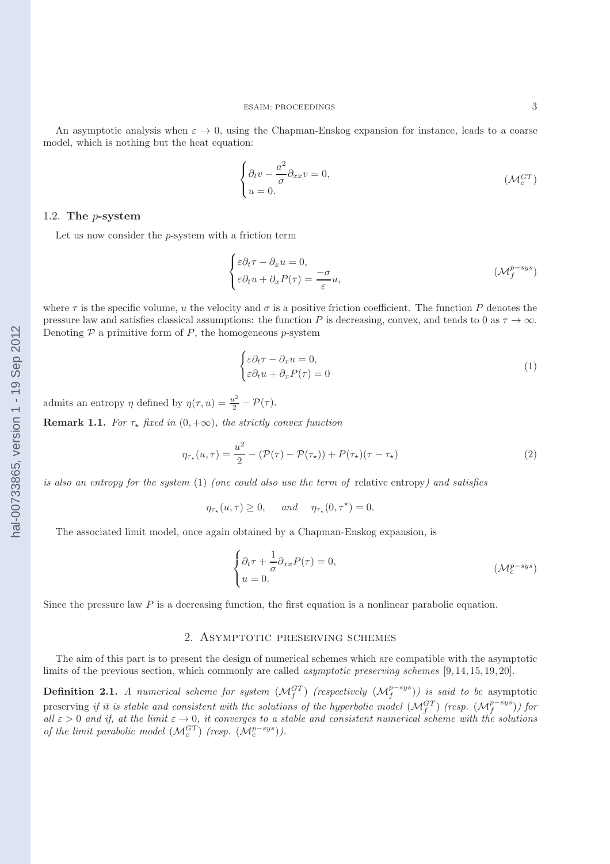An asymptotic analysis when  $\varepsilon \to 0$ , using the Chapman-Enskog expansion for instance, leads to a coarse model, which is nothing but the heat equation:

$$
\begin{cases} \partial_t v - \frac{a^2}{\sigma} \partial_{xx} v = 0, \\ u = 0. \end{cases} \tag{M_c^{GT}}
$$

#### 1.2. The p-system

Let us now consider the  $p$ -system with a friction term

$$
\begin{cases}\n\varepsilon \partial_t \tau - \partial_x u = 0, \\
\varepsilon \partial_t u + \partial_x P(\tau) = \frac{-\sigma}{\varepsilon} u,\n\end{cases} \tag{M_f^{p-sys}}
$$

where  $\tau$  is the specific volume, u the velocity and  $\sigma$  is a positive friction coefficient. The function P denotes the pressure law and satisfies classical assumptions: the function P is decreasing, convex, and tends to 0 as  $\tau \to \infty$ . Denoting  $P$  a primitive form of  $P$ , the homogeneous p-system

$$
\begin{cases} \varepsilon \partial_t \tau - \partial_x u = 0, \\ \varepsilon \partial_t u + \partial_x P(\tau) = 0 \end{cases} \tag{1}
$$

admits an entropy  $\eta$  defined by  $\eta(\tau, u) = \frac{u^2}{2} - \mathcal{P}(\tau)$ .

**Remark 1.1.** *For*  $\tau_{\star}$  *fixed in*  $(0, +\infty)$ *, the strictly convex function* 

$$
\eta_{\tau_{\star}}(u,\tau) = \frac{u^2}{2} - \left(\mathcal{P}(\tau) - \mathcal{P}(\tau_{\star})\right) + P(\tau_{\star})(\tau - \tau_{\star})
$$
\n(2)

*is also an entropy for the system* (1) *(one could also use the term of* relative entropy*) and satisfies*

 $\eta_{\tau_\star}(u,\tau) \geq 0$ , and  $\eta_{\tau_\star}(0,\tau^\star) = 0$ .

The associated limit model, once again obtained by a Chapman-Enskog expansion, is

$$
\begin{cases} \partial_t \tau + \frac{1}{\sigma} \partial_{xx} P(\tau) = 0, \\ u = 0. \end{cases} \tag{M_c^{p-sys}}
$$

Since the pressure law  $P$  is a decreasing function, the first equation is a nonlinear parabolic equation.

## 2. Asymptotic preserving schemes

The aim of this part is to present the design of numerical schemes which are compatible with the asymptotic limits of the previous section, which commonly are called *asymptotic preserving schemes* [9, 14, 15, 19, 20].

**Definition 2.1.** *A numerical scheme for system*  $(M_f^{GT})$  *(respectively*  $(M_f^{p-sys})$ *) is said to be* asymptotic  $A$ <sup> $F$ </sup> preserving *if it is stable and consistent with the solutions of the hyperbolic model*  $(M_f^{GT})$  *(resp.*  $(M_f^{p-sys})$ *)* for  $\alpha$  *all*  $\varepsilon > 0$  and if, at the limit  $\varepsilon \to 0$ , it converges to a stable and consistent numerical scheme with the solutions *of the limit parabolic model*  $(\mathcal{M}_c^{GT})$  (resp.  $(\mathcal{M}_c^{p-sys})$ ).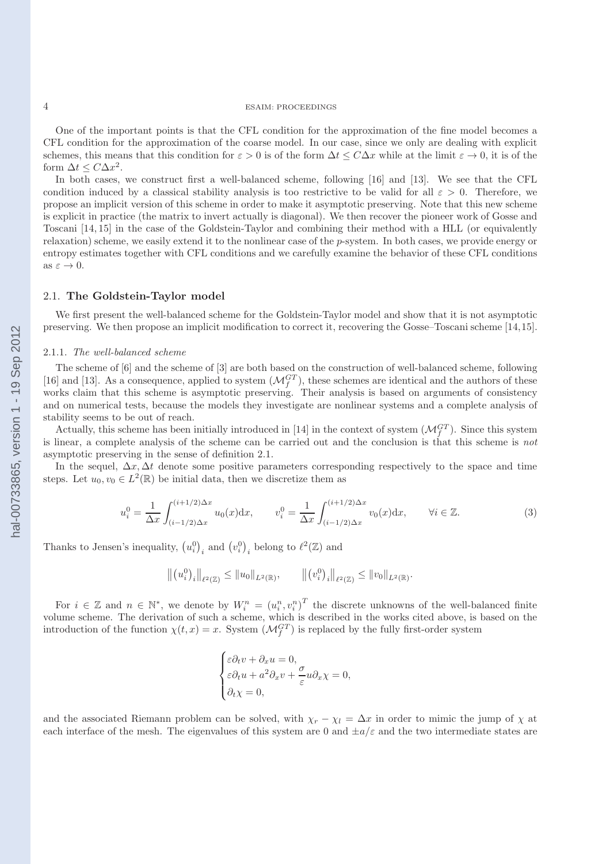One of the important points is that the CFL condition for the approximation of the fine model becomes a CFL condition for the approximation of the coarse model. In our case, since we only are dealing with explicit schemes, this means that this condition for  $\varepsilon > 0$  is of the form  $\Delta t \leq C\Delta x$  while at the limit  $\varepsilon \to 0$ , it is of the form  $\Delta t \leq C \Delta x^2$ .

In both cases, we construct first a well-balanced scheme, following [16] and [13]. We see that the CFL condition induced by a classical stability analysis is too restrictive to be valid for all  $\varepsilon > 0$ . Therefore, we propose an implicit version of this scheme in order to make it asymptotic preserving. Note that this new scheme is explicit in practice (the matrix to invert actually is diagonal). We then recover the pioneer work of Gosse and Toscani [14, 15] in the case of the Goldstein-Taylor and combining their method with a HLL (or equivalently relaxation) scheme, we easily extend it to the nonlinear case of the p-system. In both cases, we provide energy or entropy estimates together with CFL conditions and we carefully examine the behavior of these CFL conditions as  $\varepsilon \to 0$ .

### 2.1. The Goldstein-Taylor model

We first present the well-balanced scheme for the Goldstein-Taylor model and show that it is not asymptotic preserving. We then propose an implicit modification to correct it, recovering the Gosse–Toscani scheme [14,15].

### 2.1.1. *The well-balanced scheme*

The scheme of [6] and the scheme of [3] are both based on the construction of well-balanced scheme, following [16] and [13]. As a consequence, applied to system  $(\mathcal{M}_f^{GT})$ , these schemes are identical and the authors of these works claim that this scheme is asymptotic preserving. Their analysis is based on arguments of consistency and on numerical tests, because the models they investigate are nonlinear systems and a complete analysis of stability seems to be out of reach.

Actually, this scheme has been initially introduced in [14] in the context of system  $(\mathcal{M}_f^{GT})$ . Since this system is linear, a complete analysis of the scheme can be carried out and the conclusion is that this scheme is *not* asymptotic preserving in the sense of definition 2.1.

In the sequel,  $\Delta x, \Delta t$  denote some positive parameters corresponding respectively to the space and time steps. Let  $u_0, v_0 \in L^2(\mathbb{R})$  be initial data, then we discretize them as

$$
u_i^0 = \frac{1}{\Delta x} \int_{(i-1/2)\Delta x}^{(i+1/2)\Delta x} u_0(x) \mathrm{d}x, \qquad v_i^0 = \frac{1}{\Delta x} \int_{(i-1/2)\Delta x}^{(i+1/2)\Delta x} v_0(x) \mathrm{d}x, \qquad \forall i \in \mathbb{Z}.
$$
 (3)

Thanks to Jensen's inequality,  $(u_i^0)_i$  and  $(v_i^0)_i$  belong to  $\ell^2(\mathbb{Z})$  and

$$
\|(u_i^0)_i\|_{\ell^2(\mathbb{Z})} \le \|u_0\|_{L^2(\mathbb{R})}, \qquad \|(v_i^0)_i\|_{\ell^2(\mathbb{Z})} \le \|v_0\|_{L^2(\mathbb{R})}.
$$

For  $i \in \mathbb{Z}$  and  $n \in \mathbb{N}^*$ , we denote by  $W_i^n = (u_i^n, v_i^n)^T$  the discrete unknowns of the well-balanced finite volume scheme. The derivation of such a scheme, which is described in the works cited above, is based on the introduction of the function  $\chi(t,x) = x$ . System  $(\mathcal{M}_f^{GT})$  is replaced by the fully first-order system

$$
\begin{cases} \varepsilon \partial_t v + \partial_x u = 0, \\ \varepsilon \partial_t u + a^2 \partial_x v + \frac{\sigma}{\varepsilon} u \partial_x \chi = 0, \\ \partial_t \chi = 0, \end{cases}
$$

and the associated Riemann problem can be solved, with  $\chi_r - \chi_l = \Delta x$  in order to mimic the jump of  $\chi$  at each interface of the mesh. The eigenvalues of this system are 0 and  $\pm a/\varepsilon$  and the two intermediate states are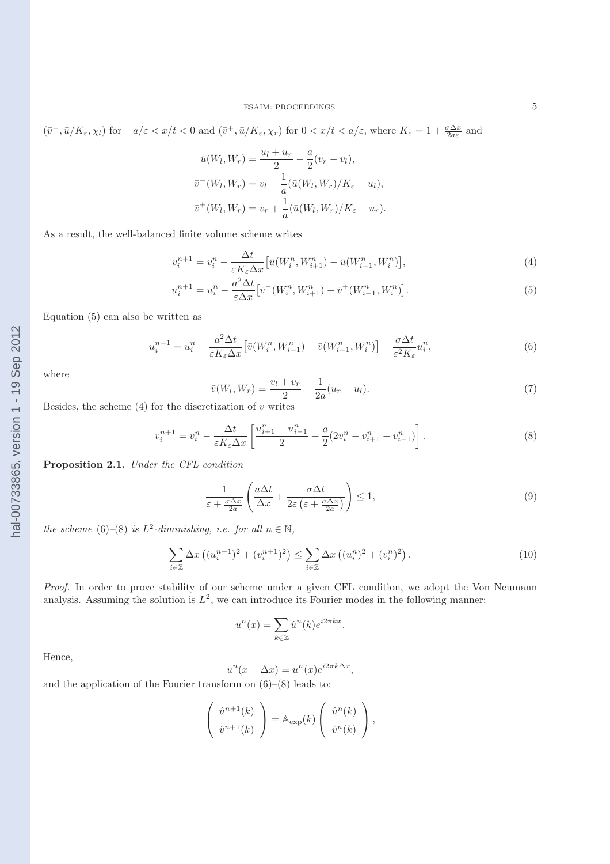$(\bar{v}^-, \bar{u}/K_\varepsilon, \chi_l)$  for  $-a/\varepsilon < x/t < 0$  and  $(\bar{v}^+, \bar{u}/K_\varepsilon, \chi_r)$  for  $0 < x/t < a/\varepsilon$ , where  $K_\varepsilon = 1 + \frac{\sigma \Delta x}{2a\varepsilon}$  and

$$
\bar{u}(W_l, W_r) = \frac{u_l + u_r}{2} - \frac{a}{2}(v_r - v_l),
$$
  

$$
\bar{v}^-(W_l, W_r) = v_l - \frac{1}{a}(\bar{u}(W_l, W_r)/K_{\varepsilon} - u_l),
$$
  

$$
\bar{v}^+(W_l, W_r) = v_r + \frac{1}{a}(\bar{u}(W_l, W_r)/K_{\varepsilon} - u_r).
$$

As a result, the well-balanced finite volume scheme writes

$$
v_i^{n+1} = v_i^n - \frac{\Delta t}{\varepsilon K_\varepsilon \Delta x} \left[ \bar{u}(W_i^n, W_{i+1}^n) - \bar{u}(W_{i-1}^n, W_i^n) \right],\tag{4}
$$

$$
u_i^{n+1} = u_i^n - \frac{a^2 \Delta t}{\varepsilon \Delta x} \left[ \bar{v}^-(W_i^n, W_{i+1}^n) - \bar{v}^+(W_{i-1}^n, W_i^n) \right]. \tag{5}
$$

Equation (5) can also be written as

$$
u_i^{n+1} = u_i^n - \frac{a^2 \Delta t}{\varepsilon K_\varepsilon \Delta x} \left[ \bar{v}(W_i^n, W_{i+1}^n) - \bar{v}(W_{i-1}^n, W_i^n) \right] - \frac{\sigma \Delta t}{\varepsilon^2 K_\varepsilon} u_i^n,\tag{6}
$$

where

$$
\bar{v}(W_l, W_r) = \frac{v_l + v_r}{2} - \frac{1}{2a}(u_r - u_l). \tag{7}
$$

Besides, the scheme  $(4)$  for the discretization of v writes

$$
v_i^{n+1} = v_i^n - \frac{\Delta t}{\varepsilon K_\varepsilon \Delta x} \left[ \frac{u_{i+1}^n - u_{i-1}^n}{2} + \frac{a}{2} (2v_i^n - v_{i+1}^n - v_{i-1}^n) \right]. \tag{8}
$$

Proposition 2.1. *Under the CFL condition*

$$
\frac{1}{\varepsilon + \frac{\sigma \Delta x}{2a}} \left( \frac{a \Delta t}{\Delta x} + \frac{\sigma \Delta t}{2\varepsilon \left( \varepsilon + \frac{\sigma \Delta x}{2a} \right)} \right) \le 1,\tag{9}
$$

*the scheme* (6)–(8) *is*  $L^2$ -diminishing, *i.e.* for all  $n \in \mathbb{N}$ ,

$$
\sum_{i \in \mathbb{Z}} \Delta x \left( (u_i^{n+1})^2 + (v_i^{n+1})^2 \right) \le \sum_{i \in \mathbb{Z}} \Delta x \left( (u_i^n)^2 + (v_i^n)^2 \right). \tag{10}
$$

*Proof.* In order to prove stability of our scheme under a given CFL condition, we adopt the Von Neumann analysis. Assuming the solution is  $L^2$ , we can introduce its Fourier modes in the following manner:

$$
u^{n}(x) = \sum_{k \in \mathbb{Z}} \hat{u}^{n}(k) e^{i2\pi k x}.
$$

Hence,

$$
u^{n}(x + \Delta x) = u^{n}(x)e^{i2\pi k\Delta x},
$$

and the application of the Fourier transform on  $(6)-(8)$  leads to:

$$
\left(\begin{array}{c}\hat{u}^{n+1}(k)\\ \hat{v}^{n+1}(k)\end{array}\right)=\mathbb{A}_{\exp}(k)\left(\begin{array}{c}\hat{u}^n(k)\\ \hat{v}^n(k)\end{array}\right),\,
$$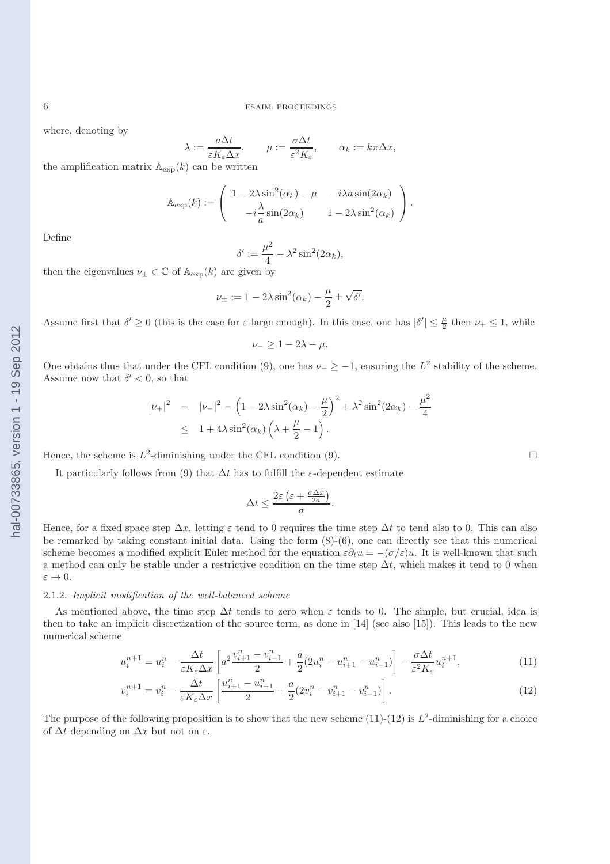where, denoting by

$$
\lambda := \frac{a\Delta t}{\varepsilon K_{\varepsilon}\Delta x}, \qquad \mu := \frac{\sigma \Delta t}{\varepsilon^2 K_{\varepsilon}}, \qquad \alpha_k := k\pi \Delta x,
$$

the amplification matrix  $A_{\exp}(k)$  can be written

$$
\mathbb{A}_{\exp}(k) := \begin{pmatrix} 1 - 2\lambda \sin^2(\alpha_k) - \mu & -i\lambda a \sin(2\alpha_k) \\ -i\frac{\lambda}{a} \sin(2\alpha_k) & 1 - 2\lambda \sin^2(\alpha_k) \end{pmatrix}.
$$

Define

$$
\delta' := \frac{\mu^2}{4} - \lambda^2 \sin^2(2\alpha_k),
$$

then the eigenvalues  $\nu_{\pm} \in \mathbb{C}$  of  $\mathbb{A}_{\exp}(k)$  are given by

$$
\nu_{\pm} := 1 - 2\lambda \sin^2(\alpha_k) - \frac{\mu}{2} \pm \sqrt{\delta'}.
$$

Assume first that  $\delta' \geq 0$  (this is the case for  $\varepsilon$  large enough). In this case, one has  $|\delta'| \leq \frac{\mu}{2}$  then  $\nu_+ \leq 1$ , while

$$
\nu_- \ge 1 - 2\lambda - \mu.
$$

One obtains thus that under the CFL condition (9), one has  $\nu_-\geq -1$ , ensuring the  $L^2$  stability of the scheme. Assume now that  $\delta' < 0$ , so that

$$
|\nu_{+}|^{2} = |\nu_{-}|^{2} = (1 - 2\lambda \sin^{2}(\alpha_{k}) - \frac{\mu}{2})^{2} + \lambda^{2} \sin^{2}(2\alpha_{k}) - \frac{\mu^{2}}{4}
$$
  
 
$$
\leq 1 + 4\lambda \sin^{2}(\alpha_{k}) \left(\lambda + \frac{\mu}{2} - 1\right).
$$

Hence, the scheme is  $L^2$ -diminishing under the CFL condition (9).

It particularly follows from (9) that  $\Delta t$  has to fulfill the  $\varepsilon$ -dependent estimate

$$
\Delta t \le \frac{2\varepsilon\left(\varepsilon + \frac{\sigma \Delta x}{2a}\right)}{\sigma}.
$$

Hence, for a fixed space step  $\Delta x$ , letting  $\varepsilon$  tend to 0 requires the time step  $\Delta t$  to tend also to 0. This can also be remarked by taking constant initial data. Using the form  $(8)-(6)$ , one can directly see that this numerical scheme becomes a modified explicit Euler method for the equation  $\varepsilon \partial_t u = -(\sigma/\varepsilon)u$ . It is well-known that such a method can only be stable under a restrictive condition on the time step  $\Delta t$ , which makes it tend to 0 when  $\varepsilon \to 0.$ 

### 2.1.2. *Implicit modification of the well-balanced scheme*

As mentioned above, the time step  $\Delta t$  tends to zero when  $\varepsilon$  tends to 0. The simple, but crucial, idea is then to take an implicit discretization of the source term, as done in [14] (see also [15]). This leads to the new numerical scheme

$$
u_i^{n+1} = u_i^n - \frac{\Delta t}{\varepsilon K_\varepsilon \Delta x} \left[ a^2 \frac{v_{i+1}^n - v_{i-1}^n}{2} + \frac{a}{2} (2u_i^n - u_{i+1}^n - u_{i-1}^n) \right] - \frac{\sigma \Delta t}{\varepsilon^2 K_\varepsilon} u_i^{n+1},\tag{11}
$$

$$
v_i^{n+1} = v_i^n - \frac{\Delta t}{\varepsilon K_\varepsilon \Delta x} \left[ \frac{u_{i+1}^n - u_{i-1}^n}{2} + \frac{a}{2} (2v_i^n - v_{i+1}^n - v_{i-1}^n) \right]. \tag{12}
$$

The purpose of the following proposition is to show that the new scheme  $(11)-(12)$  is  $L^2$ -diminishing for a choice of  $\Delta t$  depending on  $\Delta x$  but not on  $\varepsilon$ .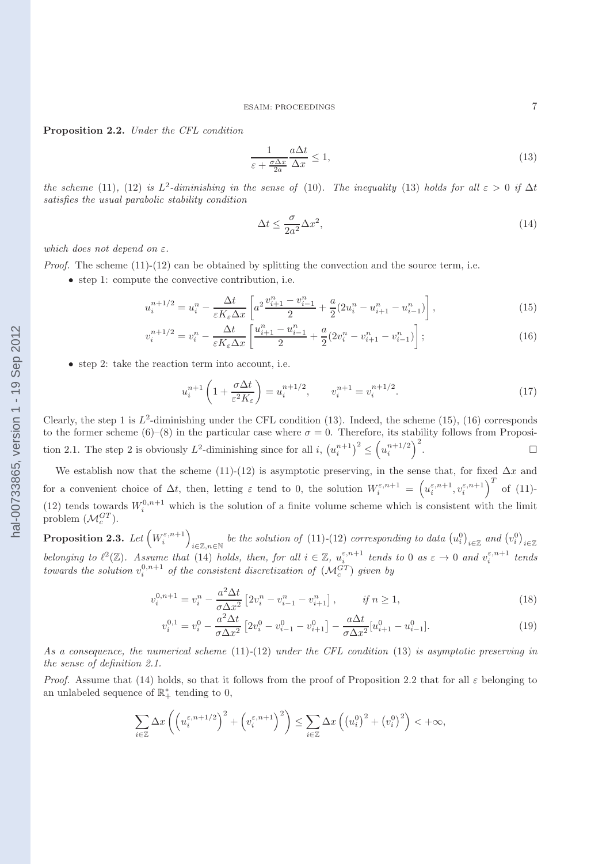Proposition 2.2. *Under the CFL condition*

$$
\frac{1}{\varepsilon + \frac{\sigma \Delta x}{2a}} \frac{a\Delta t}{\Delta x} \le 1,\tag{13}
$$

*the scheme* (11), (12) *is*  $L^2$ -diminishing in the sense of (10). The inequality (13) holds for all  $\varepsilon > 0$  if  $\Delta t$ *satisfies the usual parabolic stability condition*

$$
\Delta t \le \frac{\sigma}{2a^2} \Delta x^2,\tag{14}
$$

*which does not depend on*  $\varepsilon$ *.* 

*Proof.* The scheme (11)-(12) can be obtained by splitting the convection and the source term, i.e.

• step 1: compute the convective contribution, i.e.

$$
u_i^{n+1/2} = u_i^n - \frac{\Delta t}{\varepsilon K_\varepsilon \Delta x} \left[ a^2 \frac{v_{i+1}^n - v_{i-1}^n}{2} + \frac{a}{2} (2u_i^n - u_{i+1}^n - u_{i-1}^n) \right],\tag{15}
$$

$$
v_i^{n+1/2} = v_i^n - \frac{\Delta t}{\varepsilon K_\varepsilon \Delta x} \left[ \frac{u_{i+1}^n - u_{i-1}^n}{2} + \frac{a}{2} (2v_i^n - v_{i+1}^n - v_{i-1}^n) \right];\tag{16}
$$

• step 2: take the reaction term into account, i.e.

$$
u_i^{n+1}\left(1+\frac{\sigma \Delta t}{\varepsilon^2 K_\varepsilon}\right) = u_i^{n+1/2}, \qquad v_i^{n+1} = v_i^{n+1/2}.\tag{17}
$$

Clearly, the step 1 is  $L^2$ -diminishing under the CFL condition (13). Indeed, the scheme (15), (16) corresponds to the former scheme (6)–(8) in the particular case where  $\sigma = 0$ . Therefore, its stability follows from Proposition 2.1. The step 2 is obviously  $L^2$ -diminishing since for all i,  $(u_i^{n+1})^2 \leq (u_i^{n+1/2})^2$ . — Первый процесс в постановки программа в серверном становки производительно становки производительно станов<br>В серверном становки производительно становки производительно становки производительно становки производительн

We establish now that the scheme (11)-(12) is asymptotic preserving, in the sense that, for fixed  $\Delta x$  and for a convenient choice of  $\Delta t$ , then, letting  $\varepsilon$  tend to 0, the solution  $W_i^{\varepsilon,n+1} = \left(u_i^{\varepsilon,n+1}, v_i^{\varepsilon,n+1}\right)^T$  of (11)-(12) tends towards  $W_i^{0,n+1}$  which is the solution of a finite volume scheme which is consistent with the limit problem  $(\mathcal{M}_c^{GT})$ .

 $\textbf{Proposition 2.3.} \; \mathit{Let} \left( W^{\varepsilon,n+1}_i \right)$  $\sum_{i\in\mathbb{Z},n\in\mathbb{N}}$  be the solution of (11)-(12) corresponding to data  $(u_i^0)_{i\in\mathbb{Z}}$  and  $(v_i^0)_{i\in\mathbb{Z}}$ belonging to  $\ell^2(\mathbb{Z})$ . Assume that (14) holds, then, for all  $i \in \mathbb{Z}$ ,  $u_i^{\varepsilon,n+1}$  tends to 0 as  $\varepsilon \to 0$  and  $v_i^{\varepsilon,n+1}$  tends *towards the solution*  $v_i^{0,n+1}$  *of the consistent discretization of*  $(\mathcal{M}_c^{GT})$  *given by* 

$$
v_i^{0,n+1} = v_i^n - \frac{a^2 \Delta t}{\sigma \Delta x^2} \left[ 2v_i^n - v_{i-1}^n - v_{i+1}^n \right], \qquad \text{if } n \ge 1,
$$
\n(18)

$$
v_i^{0,1} = v_i^0 - \frac{a^2 \Delta t}{\sigma \Delta x^2} \left[ 2v_i^0 - v_{i-1}^0 - v_{i+1}^0 \right] - \frac{a \Delta t}{\sigma \Delta x^2} [u_{i+1}^0 - u_{i-1}^0]. \tag{19}
$$

*As a consequence, the numerical scheme* (11)*-*(12) *under the CFL condition* (13) *is asymptotic preserving in the sense of definition 2.1.*

*Proof.* Assume that (14) holds, so that it follows from the proof of Proposition 2.2 that for all  $\varepsilon$  belonging to an unlabeled sequence of  $\mathbb{R}^*_+$  tending to 0,

$$
\sum_{i\in\mathbb{Z}}\Delta x\left(\left(u_i^{\varepsilon,n+1/2}\right)^2+\left(v_i^{\varepsilon,n+1}\right)^2\right)\leq \sum_{i\in\mathbb{Z}}\Delta x\left(\left(u_i^0\right)^2+\left(v_i^0\right)^2\right)<+\infty,
$$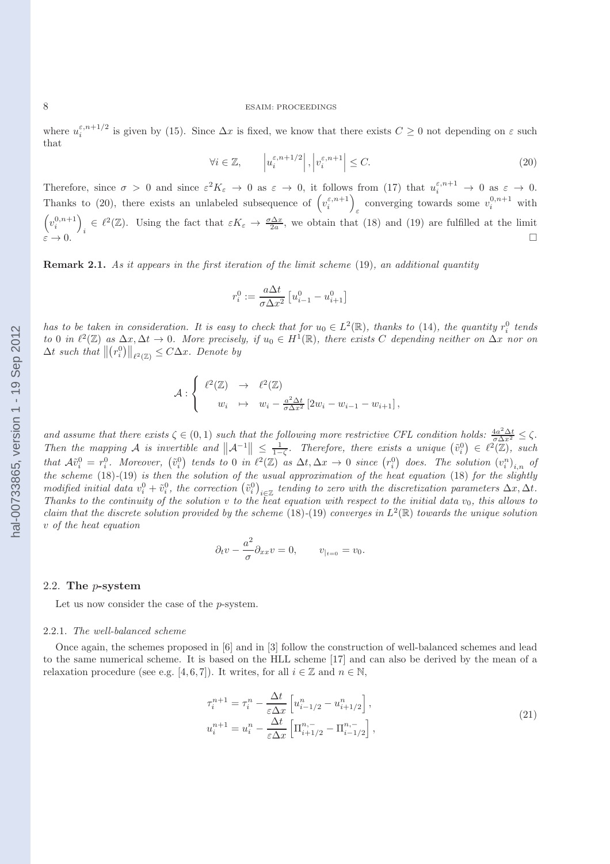where  $u_i^{\varepsilon,n+1/2}$  is given by (15). Since  $\Delta x$  is fixed, we know that there exists  $C \geq 0$  not depending on  $\varepsilon$  such that

$$
\forall i \in \mathbb{Z}, \qquad \left| u_i^{\varepsilon, n+1/2} \right|, \left| v_i^{\varepsilon, n+1} \right| \le C. \tag{20}
$$

Therefore, since  $\sigma > 0$  and since  $\varepsilon^2 K_{\varepsilon} \to 0$  as  $\varepsilon \to 0$ , it follows from (17) that  $u_i^{\varepsilon,n+1} \to 0$  as  $\varepsilon \to 0$ . Thanks to (20), there exists an unlabeled subsequence of  $(v_i^{\varepsilon,n+1})$ converging towards some  $v_i^{0,n+1}$  with  $\left(v_i^{0,n+1}\right)$  $\epsilon_i \in \ell^2(\mathbb{Z})$ . Using the fact that  $\varepsilon K_{\varepsilon} \to \frac{\sigma \Delta x}{2a}$ , we obtain that (18) and (19) are fulfilled at the limit  $\varepsilon \to 0$ .

Remark 2.1. *As it appears in the first iteration of the limit scheme* (19)*, an additional quantity*

$$
r_i^0 := \frac{a\Delta t}{\sigma \Delta x^2} \left[ u_{i-1}^0 - u_{i+1}^0 \right]
$$

*has to be taken in consideration. It is easy to check that for*  $u_0 \in L^2(\mathbb{R})$ *, thanks to* (14)*, the quantity*  $r_i^0$  *tends*  $\mathcal{L}$  *to* 0 *in*  $\ell^2(\mathbb{Z})$  *as*  $\Delta x, \Delta t \to 0$ *. More precisely, if*  $u_0 \in H^1(\mathbb{R})$ *, there exists* C *depending neither on*  $\Delta x$  *nor on*  $\Delta t$  such that  $\|(r_i^0)\|_{\ell^2(\mathbb{Z})} \leq C\Delta x$ . Denote by

$$
\mathcal{A}: \begin{cases} \ell^2(\mathbb{Z}) & \to & \ell^2(\mathbb{Z}) \\ w_i & \mapsto & w_i - \frac{a^2 \Delta t}{\sigma \Delta x^2} \left[ 2w_i - w_{i-1} - w_{i+1} \right], \end{cases}
$$

and assume that there exists  $\zeta \in (0,1)$  such that the following more restrictive CFL condition holds:  $\frac{4a^2\Delta t}{\sigma\Delta x^2} \leq \zeta$ . Then the mapping A is invertible and  $||A^{-1}|| \leq \frac{1}{1-\zeta}$ . Therefore, there exists a unique  $(\tilde{v}_i^0) \in \ell^2(\overline{\mathbb{Z}})$ , such  $that \ \mathcal{A}\tilde{v}_i^0 = r_i^0$ . Moreover,  $(\tilde{v}_i^0)$  tends to 0 in  $\ell^2(\mathbb{Z})$  as  $\Delta t, \Delta x \to 0$  since  $(r_i^0)$  does. The solution  $(v_i^n)_{i,n}$  of *the scheme* (18)*-*(19) *is then the solution of the usual approximation of the heat equation* (18) *for the slightly modified initial data*  $v_i^0 + \tilde{v}_i^0$ , the correction  $(\tilde{v}_i^0)_{i \in \mathbb{Z}}$  tending to zero with the discretization parameters  $\Delta x, \Delta t$ . *Thanks to the continuity of the solution* v *to the heat equation with respect to the initial data*  $v_0$ , this allows to *claim that the discrete solution provided by the scheme* (18)-(19) *converges in*  $L^2(\mathbb{R})$  *towards the unique solution* v *of the heat equation*

$$
\partial_t v - \frac{a^2}{\sigma} \partial_{xx} v = 0, \qquad v_{|_{t=0}} = v_0.
$$

#### 2.2. The p-system

Let us now consider the case of the *p*-system.

#### 2.2.1. *The well-balanced scheme*

Once again, the schemes proposed in [6] and in [3] follow the construction of well-balanced schemes and lead to the same numerical scheme. It is based on the HLL scheme [17] and can also be derived by the mean of a relaxation procedure (see e.g. [4, 6, 7]). It writes, for all  $i \in \mathbb{Z}$  and  $n \in \mathbb{N}$ ,

$$
\tau_i^{n+1} = \tau_i^n - \frac{\Delta t}{\varepsilon \Delta x} \left[ u_{i-1/2}^n - u_{i+1/2}^n \right],
$$
  
\n
$$
u_i^{n+1} = u_i^n - \frac{\Delta t}{\varepsilon \Delta x} \left[ \Pi_{i+1/2}^{n,-} - \Pi_{i-1/2}^{n,-} \right],
$$
\n(21)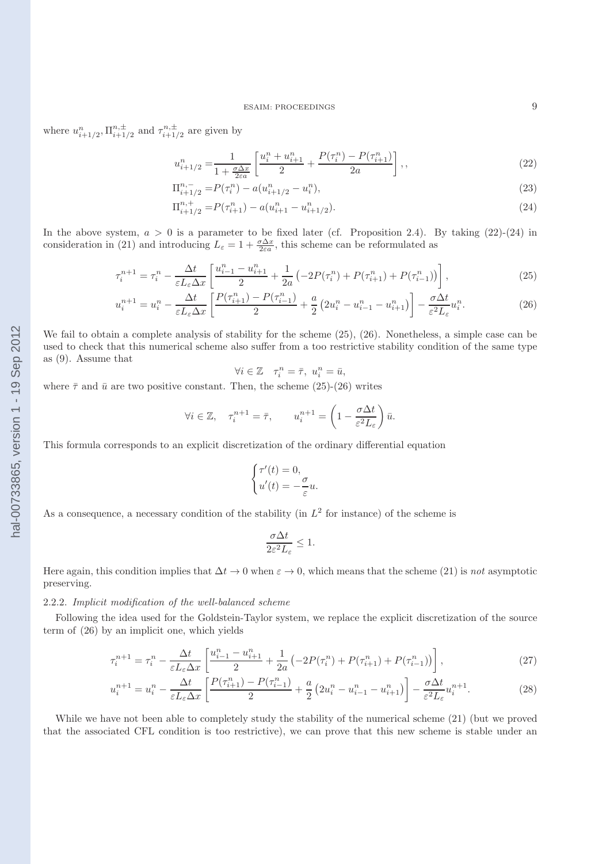where  $u_{i+1/2}^n, \Pi_{i+1}^{n,\pm}$  $_{i+1/2}^{n,\pm}$  and  $\tau_{i+1/2}^{n,\pm}$  $\lim_{i+1/2}^{n,\pm}$  are given by

$$
u_{i+1/2}^n = \frac{1}{1 + \frac{\sigma \Delta x}{2\varepsilon a}} \left[ \frac{u_i^n + u_{i+1}^n}{2} + \frac{P(\tau_i^n) - P(\tau_{i+1}^n)}{2a} \right],
$$
\n(22)

$$
\Pi_{i+1/2}^{n,-} = P(\tau_i^n) - a(u_{i+1/2}^n - u_i^n),\tag{23}
$$

$$
\Pi_{i+1/2}^{n,+} = P(\tau_{i+1}^n) - a(u_{i+1}^n - u_{i+1/2}^n). \tag{24}
$$

In the above system,  $a > 0$  is a parameter to be fixed later (cf. Proposition 2.4). By taking (22)-(24) in consideration in (21) and introducing  $L_{\varepsilon} = 1 + \frac{\sigma \Delta x}{2\varepsilon a}$ , this scheme can be reformulated as

$$
\tau_i^{n+1} = \tau_i^n - \frac{\Delta t}{\varepsilon L_\varepsilon \Delta x} \left[ \frac{u_{i-1}^n - u_{i+1}^n}{2} + \frac{1}{2a} \left( -2P(\tau_i^n) + P(\tau_{i+1}^n) + P(\tau_{i-1}^n) \right) \right],\tag{25}
$$

$$
u_i^{n+1} = u_i^n - \frac{\Delta t}{\varepsilon L_\varepsilon \Delta x} \left[ \frac{P(\tau_{i+1}^n) - P(\tau_{i-1}^n)}{2} + \frac{a}{2} \left( 2u_i^n - u_{i-1}^n - u_{i+1}^n \right) \right] - \frac{\sigma \Delta t}{\varepsilon^2 L_\varepsilon} u_i^n. \tag{26}
$$

We fail to obtain a complete analysis of stability for the scheme  $(25)$ ,  $(26)$ . Nonetheless, a simple case can be used to check that this numerical scheme also suffer from a too restrictive stability condition of the same type as (9). Assume that

$$
\forall i \in \mathbb{Z} \quad \tau_i^n = \bar{\tau}, \ u_i^n = \bar{u},
$$

where  $\bar{\tau}$  and  $\bar{u}$  are two positive constant. Then, the scheme (25)-(26) writes

$$
\forall i \in \mathbb{Z}, \quad \tau_i^{n+1} = \bar{\tau}, \qquad u_i^{n+1} = \left(1 - \frac{\sigma \Delta t}{\varepsilon^2 L_\varepsilon}\right) \bar{u}.
$$

This formula corresponds to an explicit discretization of the ordinary differential equation

$$
\begin{cases} \tau'(t) = 0, \\ u'(t) = -\frac{\sigma}{\varepsilon}u. \end{cases}
$$

As a consequence, a necessary condition of the stability (in  $L^2$  for instance) of the scheme is

$$
\frac{\sigma \Delta t}{2\varepsilon^2 L_\varepsilon} \le 1.
$$

Here again, this condition implies that  $\Delta t \to 0$  when  $\varepsilon \to 0$ , which means that the scheme (21) is *not* asymptotic preserving.

### 2.2.2. *Implicit modification of the well-balanced scheme*

Following the idea used for the Goldstein-Taylor system, we replace the explicit discretization of the source term of (26) by an implicit one, which yields

$$
\tau_i^{n+1} = \tau_i^n - \frac{\Delta t}{\varepsilon L_\varepsilon \Delta x} \left[ \frac{u_{i-1}^n - u_{i+1}^n}{2} + \frac{1}{2a} \left( -2P(\tau_i^n) + P(\tau_{i+1}^n) + P(\tau_{i-1}^n) \right) \right],\tag{27}
$$

$$
u_i^{n+1} = u_i^n - \frac{\Delta t}{\varepsilon L_\varepsilon \Delta x} \left[ \frac{P(\tau_{i+1}^n) - P(\tau_{i-1}^n)}{2} + \frac{a}{2} \left( 2u_i^n - u_{i-1}^n - u_{i+1}^n \right) \right] - \frac{\sigma \Delta t}{\varepsilon^2 L_\varepsilon} u_i^{n+1}.
$$
 (28)

While we have not been able to completely study the stability of the numerical scheme (21) (but we proved that the associated CFL condition is too restrictive), we can prove that this new scheme is stable under an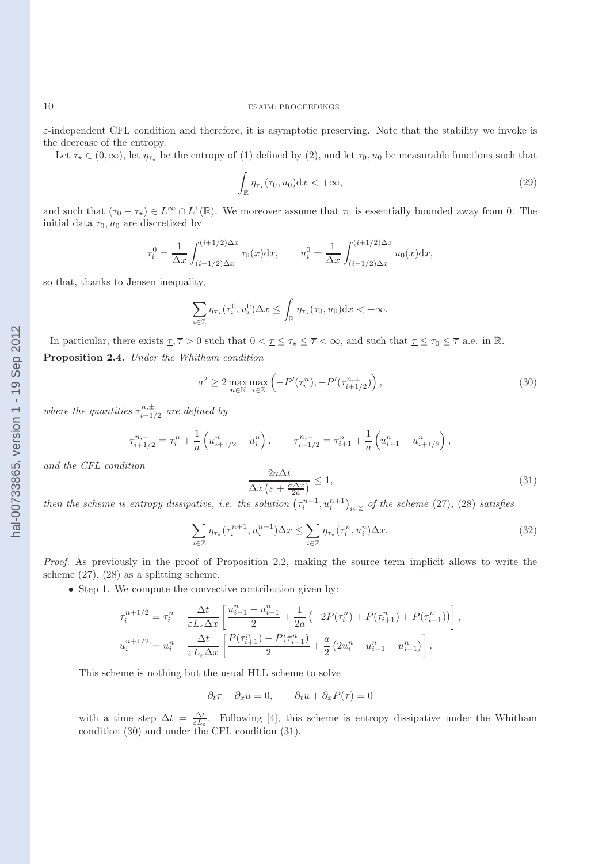$\varepsilon$ -independent CFL condition and therefore, it is asymptotic preserving. Note that the stability we invoke is the decrease of the entropy.

Let  $\tau_{\star} \in (0,\infty)$ , let  $\eta_{\tau_{\star}}$  be the entropy of (1) defined by (2), and let  $\tau_0$ ,  $u_0$  be measurable functions such that

$$
\int_{\mathbb{R}} \eta_{\tau_{\star}}(\tau_0, u_0) \mathrm{d}x < +\infty, \tag{29}
$$

and such that  $(\tau_0 - \tau_{\star}) \in L^{\infty} \cap L^{1}(\mathbb{R})$ . We moreover assume that  $\tau_0$  is essentially bounded away from 0. The initial data  $\tau_0$ ,  $u_0$  are discretized by

$$
\tau_i^0 = \frac{1}{\Delta x} \int_{(i-1/2)\Delta x}^{(i+1/2)\Delta x} \tau_0(x) dx, \qquad u_i^0 = \frac{1}{\Delta x} \int_{(i-1/2)\Delta x}^{(i+1/2)\Delta x} u_0(x) dx,
$$

so that, thanks to Jensen inequality,

$$
\sum_{i\in\mathbb{Z}}\eta_{\tau_{\star}}(\tau_{i}^{0},u_{i}^{0})\Delta x\leq\int_{\mathbb{R}}\eta_{\tau_{\star}}(\tau_{0},u_{0})\mathrm{d}x<+\infty.
$$

In particular, there exists  $\tau, \overline{\tau} > 0$  such that  $0 < \tau \leq \tau_{\star} \leq \overline{\tau} < \infty$ , and such that  $\tau \leq \tau_0 \leq \overline{\tau}$  a.e. in R. Proposition 2.4. *Under the Whitham condition*

$$
a^{2} \ge 2 \max_{n \in \mathbb{N}} \max_{i \in \mathbb{Z}} \left( -P'(\tau_{i}^{n}), -P'(\tau_{i+1/2}^{n,\pm}) \right),\tag{30}
$$

where the quantities  $\tau_{i+1}^{n,\pm}$  $lim_{i+1/2}^{n,\pm}$  are defined by

$$
\tau_{i+1/2}^{n,-} = \tau_i^n + \frac{1}{a} \left( u_{i+1/2}^n - u_i^n \right), \qquad \tau_{i+1/2}^{n,+} = \tau_{i+1}^n + \frac{1}{a} \left( u_{i+1}^n - u_{i+1/2}^n \right),
$$

*and the CFL condition*

$$
\frac{2a\Delta t}{\Delta x \left(\varepsilon + \frac{\sigma \Delta x}{2a}\right)} \le 1,\tag{31}
$$

,

*then the scheme is entropy dissipative, i.e. the solution*  $(\tau_i^{n+1}, u_i^{n+1})_{i \in \mathbb{Z}}$  *of the scheme* (27)*,* (28) *satisfies* 

$$
\sum_{i\in\mathbb{Z}}\eta_{\tau_{\star}}(\tau_{i}^{n+1},u_{i}^{n+1})\Delta x\leq\sum_{i\in\mathbb{Z}}\eta_{\tau_{\star}}(\tau_{i}^{n},u_{i}^{n})\Delta x.\tag{32}
$$

*Proof.* As previously in the proof of Proposition 2.2, making the source term implicit allows to write the scheme (27), (28) as a splitting scheme.

• Step 1. We compute the convective contribution given by:

$$
\tau_i^{n+1/2} = \tau_i^n - \frac{\Delta t}{\varepsilon L_\varepsilon \Delta x} \left[ \frac{u_{i-1}^n - u_{i+1}^n}{2} + \frac{1}{2a} \left( -2P(\tau_i^n) + P(\tau_{i+1}^n) + P(\tau_{i-1}^n) \right) \right]
$$
  

$$
u_i^{n+1/2} = u_i^n - \frac{\Delta t}{\varepsilon L_\varepsilon \Delta x} \left[ \frac{P(\tau_{i+1}^n) - P(\tau_{i-1}^n)}{2} + \frac{a}{2} \left( 2u_i^n - u_{i-1}^n - u_{i+1}^n \right) \right].
$$

This scheme is nothing but the usual HLL scheme to solve

 $\partial_t \tau - \partial_x u = 0, \qquad \partial_t u + \partial_x P(\tau) = 0$ 

with a time step  $\overline{\Delta t} = \frac{\Delta t}{\varepsilon L_{\varepsilon}}$ . Following [4], this scheme is entropy dissipative under the Whitham condition (30) and under the CFL condition (31).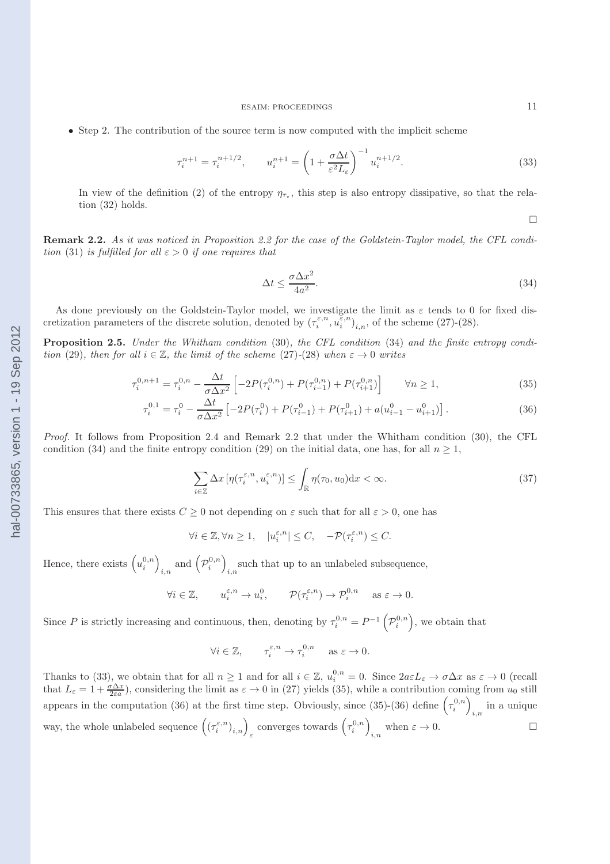• Step 2. The contribution of the source term is now computed with the implicit scheme

$$
\tau_i^{n+1} = \tau_i^{n+1/2}, \qquad u_i^{n+1} = \left(1 + \frac{\sigma \Delta t}{\varepsilon^2 L_\varepsilon}\right)^{-1} u_i^{n+1/2}.
$$
\n(33)

In view of the definition (2) of the entropy  $\eta_{\tau_{\star}}$ , this step is also entropy dissipative, so that the relation (32) holds.

Remark 2.2. *As it was noticed in Proposition 2.2 for the case of the Goldstein-Taylor model, the CFL condition* (31) *is fulfilled for all*  $\varepsilon > 0$  *if one requires that* 

$$
\Delta t \le \frac{\sigma \Delta x^2}{4a^2}.\tag{34}
$$

As done previously on the Goldstein-Taylor model, we investigate the limit as  $\varepsilon$  tends to 0 for fixed discretization parameters of the discrete solution, denoted by  $(\tau_i^{\varepsilon,n}, u_i^{\varepsilon,n})_{i,n}$ , of the scheme (27)-(28).

Proposition 2.5. *Under the Whitham condition* (30)*, the CFL condition* (34) *and the finite entropy condition* (29)*, then for all*  $i \in \mathbb{Z}$ *, the limit of the scheme* (27)*-*(28) *when*  $\varepsilon \to 0$  *writes* 

$$
\tau_i^{0,n+1} = \tau_i^{0,n} - \frac{\Delta t}{\sigma \Delta x^2} \left[ -2P(\tau_i^{0,n}) + P(\tau_{i-1}^{0,n}) + P(\tau_{i+1}^{0,n}) \right] \qquad \forall n \ge 1,
$$
\n(35)

$$
\tau_i^{0,1} = \tau_i^0 - \frac{\Delta t}{\sigma \Delta x^2} \left[ -2P(\tau_i^0) + P(\tau_{i-1}^0) + P(\tau_{i+1}^0) + a(u_{i-1}^0 - u_{i+1}^0) \right]. \tag{36}
$$

*Proof.* It follows from Proposition 2.4 and Remark 2.2 that under the Whitham condition (30), the CFL condition (34) and the finite entropy condition (29) on the initial data, one has, for all  $n \geq 1$ ,

$$
\sum_{i\in\mathbb{Z}} \Delta x \left[ \eta(\tau_i^{\varepsilon,n}, u_i^{\varepsilon,n}) \right] \le \int_{\mathbb{R}} \eta(\tau_0, u_0) \mathrm{d}x < \infty. \tag{37}
$$

This ensures that there exists  $C \geq 0$  not depending on  $\varepsilon$  such that for all  $\varepsilon > 0$ , one has

$$
\forall i\in\mathbb{Z}, \forall n\geq 1, \quad |u^{\varepsilon,n}_i|\leq C, \quad -\mathcal{P}(\tau^{\varepsilon,n}_i)\leq C.
$$

Hence, there exists  $\left(u_i^{0,n}\right)$  $_{i,n}$  and  $\left(\mathcal{P}_{i}^{0,n}\right)$ such that up to an unlabeled subsequence,  $i_n$ 

$$
\forall i \in \mathbb{Z}, \qquad u_i^{\varepsilon,n} \to u_i^0, \qquad \mathcal{P}(\tau_i^{\varepsilon,n}) \to \mathcal{P}_i^{0,n} \quad \text{ as } \varepsilon \to 0.
$$

Since P is strictly increasing and continuous, then, denoting by  $\tau_i^{0,n} = P^{-1}(\mathcal{P}_i^{0,n})$ , we obtain that

$$
\forall i \in \mathbb{Z}, \qquad \tau_i^{\varepsilon, n} \to \tau_i^{0, n} \quad \text{ as } \varepsilon \to 0.
$$

Thanks to (33), we obtain that for all  $n \geq 1$  and for all  $i \in \mathbb{Z}$ ,  $u_i^{0,n} = 0$ . Since  $2a\varepsilon L_{\varepsilon} \to \sigma \Delta x$  as  $\varepsilon \to 0$  (recall that  $L_{\varepsilon} = 1 + \frac{\sigma \Delta x}{2\varepsilon a}$ , considering the limit as  $\varepsilon \to 0$  in (27) yields (35), while a contribution coming from  $u_0$  still appears in the computation (36) at the first time step. Obviously, since (35)-(36) define  $(\tau_i^{0,n})$  $\sum_{i,n}$  in a unique way, the whole unlabeled sequence  $(\tau_i^{\varepsilon,n})_{i,n}\Big)_{\varepsilon}$  converges towards  $(\tau_i^{0,n})$  $\lim_{\varepsilon, n}$  when  $\varepsilon \to 0$ .

 $\Box$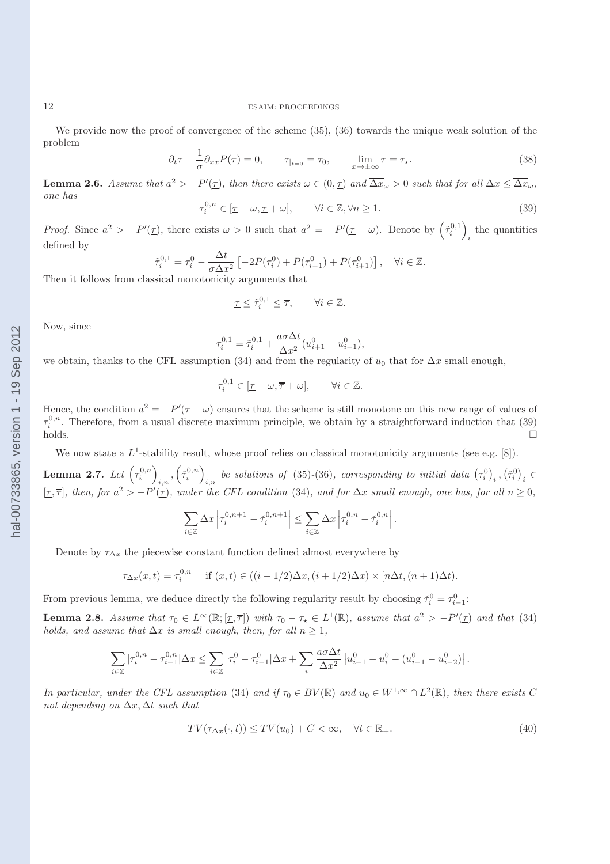We provide now the proof of convergence of the scheme  $(35)$ ,  $(36)$  towards the unique weak solution of the problem

$$
\partial_t \tau + \frac{1}{\sigma} \partial_{xx} P(\tau) = 0, \qquad \tau_{|_{t=0}} = \tau_0, \qquad \lim_{x \to \pm \infty} \tau = \tau_\star. \tag{38}
$$

**Lemma 2.6.** Assume that  $a^2 > -P'(\underline{\tau})$ , then there exists  $\omega \in (0, \underline{\tau})$  and  $\overline{\Delta x_{\omega}} > 0$  such that for all  $\Delta x \leq \overline{\Delta x_{\omega}}$ , *one has*

 $\tau_i^{0,n} \in [\underline{\tau} - \omega, \underline{\tau} + \omega], \qquad \forall i \in \mathbb{Z}, \forall n \ge 1.$ (39)

*Proof.* Since  $a^2 > -P'(\underline{\tau})$ , there exists  $\omega > 0$  such that  $a^2 = -P'(\underline{\tau} - \omega)$ . Denote by  $(\tilde{\tau}_i^{0,1})$ the quantities defined by

$$
\tilde{\tau}_i^{0,1} = \tau_i^0 - \frac{\Delta t}{\sigma \Delta x^2} \left[ -2P(\tau_i^0) + P(\tau_{i-1}^0) + P(\tau_{i+1}^0) \right], \quad \forall i \in \mathbb{Z}.
$$

Then it follows from classical monotonicity arguments that

$$
\underline{\tau} \le \tilde{\tau}_i^{0,1} \le \overline{\tau}, \qquad \forall i \in \mathbb{Z}.
$$

Now, since

$$
\tau_i^{0,1} = \tilde{\tau}_i^{0,1} + \frac{a\sigma \Delta t}{\Delta x^2} (u_{i+1}^0 - u_{i-1}^0),
$$

we obtain, thanks to the CFL assumption (34) and from the regularity of  $u_0$  that for  $\Delta x$  small enough,

$$
\tau_i^{0,1} \in [\underline{\tau} - \omega, \overline{\tau} + \omega], \qquad \forall i \in \mathbb{Z}.
$$

Hence, the condition  $a^2 = -P'(\underline{\tau} - \omega)$  ensures that the scheme is still monotone on this new range of values of  $\tau_i^{0,n}$ . Therefore, from a usual discrete maximum principle, we obtain by a straightforward induction that (39)  $holds.$ 

We now state a  $L^1$ -stability result, whose proof relies on classical monotonicity arguments (see e.g. [8]).

Lemma 2.7. *Let*  $\left(\tau_i^{0,n}\right)$  $_{i,n},\left( \check{\tau}_{i}^{0,n}\right)$ *i*,*n* be solutions of (35)-(36), corresponding to initial data  $(\tau_i^0)_i$ ,  $(\tilde{\tau}_i^0)_i \in$  $[\underline{\tau}, \overline{\tau}]$ , then, for  $a^2 > -P'(\underline{\tau})$ , under the CFL condition (34), and for  $\Delta x$  small enough, one has, for all  $n \ge 0$ ,

$$
\sum_{i\in\mathbb{Z}}\Delta x\left|\tau_i^{0,n+1}-\check{\tau}_i^{0,n+1}\right|\leq \sum_{i\in\mathbb{Z}}\Delta x\left|\tau_i^{0,n}-\check{\tau}_i^{0,n}\right|.
$$

Denote by  $\tau_{\Delta x}$  the piecewise constant function defined almost everywhere by

$$
\tau_{\Delta x}(x,t) = \tau_i^{0,n} \quad \text{if } (x,t) \in ((i-1/2)\Delta x, (i+1/2)\Delta x) \times [n\Delta t, (n+1)\Delta t).
$$

From previous lemma, we deduce directly the following regularity result by choosing  $\tilde{\tau}_i^0 = \tau_{i-1}^0$ :

**Lemma 2.8.** *Assume that*  $\tau_0 \in L^{\infty}(\mathbb{R}; [\underline{\tau}, \overline{\tau}])$  *with*  $\tau_0 - \tau_{\star} \in L^1(\mathbb{R})$ *, assume that*  $a^2 > -P'(\underline{\tau})$  *and that* (34) *holds, and assume that*  $\Delta x$  *is small enough, then, for all*  $n \geq 1$ *,* 

$$
\sum_{i\in\mathbb{Z}}|\tau_i^{0,n}-\tau_{i-1}^{0,n}|\Delta x\leq \sum_{i\in\mathbb{Z}}|\tau_i^0-\tau_{i-1}^0|\Delta x+\sum_i\frac{a\sigma\Delta t}{\Delta x^2}\left|u_{i+1}^0-u_i^0-(u_{i-1}^0-u_{i-2}^0)\right|.
$$

*In particular, under the CFL assumption* (34) *and* if  $\tau_0 \in BV(\mathbb{R})$  *and*  $u_0 \in W^{1,\infty} \cap L^2(\mathbb{R})$ *, then there exists* C *not depending on* ∆x, ∆t *such that*

$$
TV(\tau_{\Delta x}(\cdot, t)) \le TV(u_0) + C < \infty, \quad \forall t \in \mathbb{R}_+.\tag{40}
$$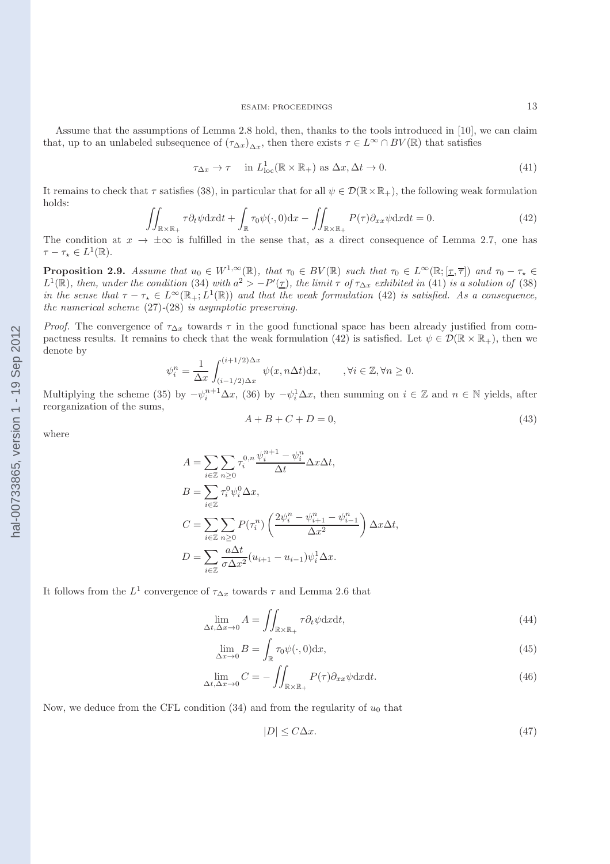Assume that the assumptions of Lemma 2.8 hold, then, thanks to the tools introduced in [10], we can claim that, up to an unlabeled subsequence of  $(\tau_{\Delta x})_{\Delta x}$ , then there exists  $\tau \in L^{\infty} \cap BV(\mathbb{R})$  that satisfies

$$
\tau_{\Delta x} \to \tau \quad \text{in } L^1_{\text{loc}}(\mathbb{R} \times \mathbb{R}_+) \text{ as } \Delta x, \Delta t \to 0. \tag{41}
$$

It remains to check that  $\tau$  satisfies (38), in particular that for all  $\psi \in \mathcal{D}(\mathbb{R} \times \mathbb{R}_+)$ , the following weak formulation holds:

$$
\iint_{\mathbb{R}\times\mathbb{R}_+} \tau \partial_t \psi \mathrm{d}x \mathrm{d}t + \int_{\mathbb{R}} \tau_0 \psi(\cdot, 0) \mathrm{d}x - \iint_{\mathbb{R}\times\mathbb{R}_+} P(\tau) \partial_{xx} \psi \mathrm{d}x \mathrm{d}t = 0. \tag{42}
$$

The condition at  $x \to \pm \infty$  is fulfilled in the sense that, as a direct consequence of Lemma 2.7, one has  $\tau-\tau_{\star}\in L^{1}(\mathbb{R}).$ 

**Proposition 2.9.** *Assume that*  $u_0 \in W^{1,\infty}(\mathbb{R})$ *, that*  $\tau_0 \in BV(\mathbb{R})$  *such that*  $\tau_0 \in L^{\infty}(\mathbb{R}; [\underline{\tau}, \overline{\tau}])$  *and*  $\tau_0 - \tau_* \in$  $L^1(\mathbb{R})$ , then, under the condition (34) with  $a^2 > -P'(\underline{\tau})$ , the limit  $\tau$  of  $\tau_{\Delta x}$  exhibited in (41) is a solution of (38) *in the sense that*  $\tau - \tau_{\star} \in L^{\infty}(\mathbb{R}_{+}; L^{1}(\mathbb{R}))$  *and that the weak formulation* (42) *is satisfied. As a consequence, the numerical scheme* (27)*-*(28) *is asymptotic preserving.*

*Proof.* The convergence of  $\tau_{\Delta x}$  towards  $\tau$  in the good functional space has been already justified from compactness results. It remains to check that the weak formulation (42) is satisfied. Let  $\psi \in \mathcal{D}(\mathbb{R} \times \mathbb{R}_+)$ , then we denote by

$$
\psi_i^n = \frac{1}{\Delta x} \int_{(i-1/2)\Delta x}^{(i+1/2)\Delta x} \psi(x, n\Delta t) dx, \qquad, \forall i \in \mathbb{Z}, \forall n \ge 0.
$$

Multiplying the scheme (35) by  $-\psi_i^{n+1}\Delta x$ , (36) by  $-\psi_i^1\Delta x$ , then summing on  $i \in \mathbb{Z}$  and  $n \in \mathbb{N}$  yields, after reorganization of the sums,

$$
A + B + C + D = 0,\t\t(43)
$$

where

$$
A = \sum_{i \in \mathbb{Z}} \sum_{n \geq 0} \tau_i^{0,n} \frac{\psi_i^{n+1} - \psi_i^n}{\Delta t} \Delta x \Delta t,
$$
  
\n
$$
B = \sum_{i \in \mathbb{Z}} \tau_i^0 \psi_i^0 \Delta x,
$$
  
\n
$$
C = \sum_{i \in \mathbb{Z}} \sum_{n \geq 0} P(\tau_i^n) \left( \frac{2\psi_i^n - \psi_{i+1}^n - \psi_{i-1}^n}{\Delta x^2} \right) \Delta x \Delta t,
$$
  
\n
$$
D = \sum_{i \in \mathbb{Z}} \frac{a \Delta t}{\sigma \Delta x^2} (u_{i+1} - u_{i-1}) \psi_i^1 \Delta x.
$$

It follows from the  $L^1$  convergence of  $\tau_{\Delta x}$  towards  $\tau$  and Lemma 2.6 that

$$
\lim_{\Delta t, \Delta x \to 0} A = \iint_{\mathbb{R} \times \mathbb{R}_+} \tau \partial_t \psi \mathrm{d}x \mathrm{d}t,\tag{44}
$$

$$
\lim_{\Delta x \to 0} B = \int_{\mathbb{R}} \tau_0 \psi(\cdot, 0) \mathrm{d}x,\tag{45}
$$

$$
\lim_{\Delta t, \Delta x \to 0} C = -\iint_{\mathbb{R} \times \mathbb{R}_+} P(\tau) \partial_{xx} \psi \mathrm{d}x \mathrm{d}t. \tag{46}
$$

Now, we deduce from the CFL condition  $(34)$  and from the regularity of  $u_0$  that

$$
|D| \le C\Delta x.\tag{47}
$$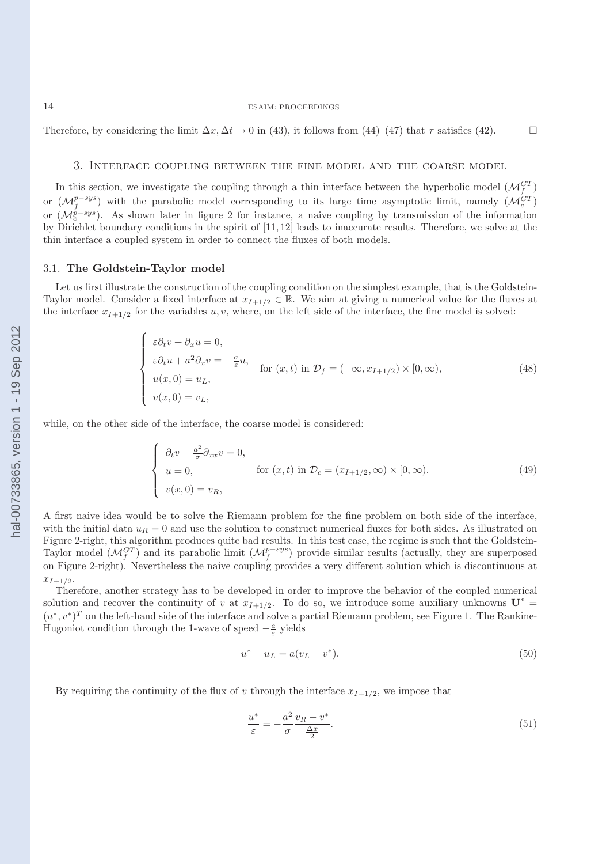Therefore, by considering the limit  $\Delta x, \Delta t \to 0$  in (43), it follows from (44)–(47) that  $\tau$  satisfies (42).

### 3. Interface coupling between the fine model and the coarse model

In this section, we investigate the coupling through a thin interface between the hyperbolic model  $(\mathcal{M}_f^{GT})$ or  $(\mathcal{M}_f^{p-sys})$  with the parabolic model corresponding to its large time asymptotic limit, namely  $(\mathcal{M}_c^{GT})$ or  $(\mathcal{M}_c^{p-sys})$ . As shown later in figure 2 for instance, a naive coupling by transmission of the information by Dirichlet boundary conditions in the spirit of [11, 12] leads to inaccurate results. Therefore, we solve at the thin interface a coupled system in order to connect the fluxes of both models.

### 3.1. The Goldstein-Taylor model

Let us first illustrate the construction of the coupling condition on the simplest example, that is the Goldstein-Taylor model. Consider a fixed interface at  $x_{I+1/2} \in \mathbb{R}$ . We aim at giving a numerical value for the fluxes at the interface  $x_{I+1/2}$  for the variables u, v, where, on the left side of the interface, the fine model is solved:

$$
\begin{cases}\n\varepsilon \partial_t v + \partial_x u = 0, \\
\varepsilon \partial_t u + a^2 \partial_x v = -\frac{\sigma}{\varepsilon} u, \\
u(x,0) = u_L, \\
v(x,0) = v_L,\n\end{cases}\n\text{ for } (x,t) \text{ in } \mathcal{D}_f = (-\infty, x_{I+1/2}) \times [0,\infty),\n\tag{48}
$$

while, on the other side of the interface, the coarse model is considered:

$$
\begin{cases}\n\partial_t v - \frac{a^2}{\sigma} \partial_{xx} v = 0, \\
u = 0, & \text{for } (x, t) \text{ in } \mathcal{D}_c = (x_{I+1/2}, \infty) \times [0, \infty). \\
v(x, 0) = v_R,\n\end{cases}
$$
\n(49)

A first naive idea would be to solve the Riemann problem for the fine problem on both side of the interface, with the initial data  $u_R = 0$  and use the solution to construct numerical fluxes for both sides. As illustrated on Figure 2-right, this algorithm produces quite bad results. In this test case, the regime is such that the Goldstein-Taylor model  $(M_f^{GT})$  and its parabolic limit  $(M_f^{p-sys})$  provide similar results (actually, they are superposed on Figure 2-right). Nevertheless the naive coupling provides a very different solution which is discontinuous at  $x_{I+1/2}$ .

Therefore, another strategy has to be developed in order to improve the behavior of the coupled numerical solution and recover the continuity of v at  $x_{I+1/2}$ . To do so, we introduce some auxiliary unknowns  $\mathbf{U}^*$  =  $(u^*, v^*)^T$  on the left-hand side of the interface and solve a partial Riemann problem, see Figure 1. The Rankine-Hugoniot condition through the 1-wave of speed  $-\frac{a}{\varepsilon}$  yields

$$
u^* - u_L = a(v_L - v^*). \tag{50}
$$

By requiring the continuity of the flux of v through the interface  $x_{I+1/2}$ , we impose that

$$
\frac{u^*}{\varepsilon} = -\frac{a^2}{\sigma} \frac{v_R - v^*}{\frac{\Delta x}{2}}.\tag{51}
$$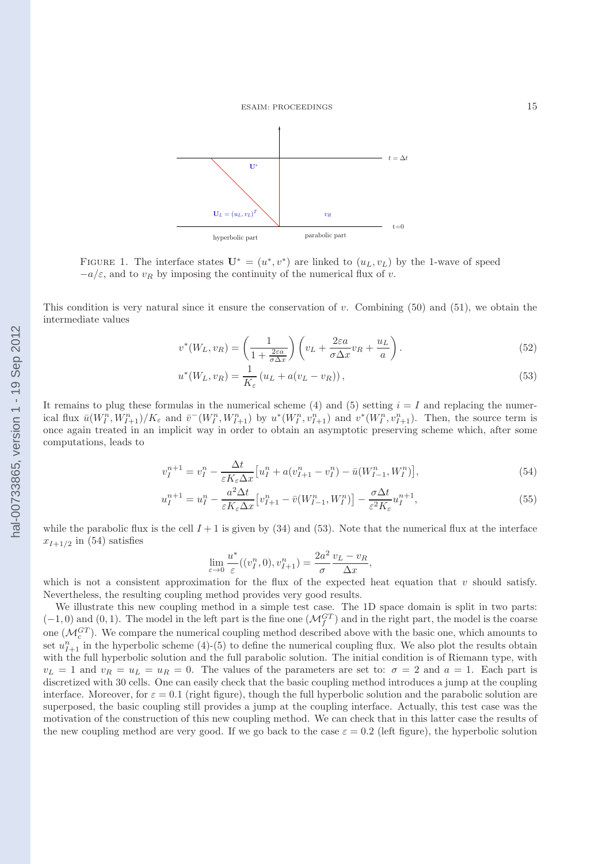

FIGURE 1. The interface states  $\mathbf{U}^* = (u^*, v^*)$  are linked to  $(u_L, v_L)$  by the 1-wave of speed  $-a/\varepsilon$ , and to  $v_R$  by imposing the continuity of the numerical flux of v.

This condition is very natural since it ensure the conservation of  $v$ . Combining (50) and (51), we obtain the intermediate values

$$
v^*(W_L, v_R) = \left(\frac{1}{1 + \frac{2\varepsilon a}{\sigma \Delta x}}\right) \left(v_L + \frac{2\varepsilon a}{\sigma \Delta x} v_R + \frac{u_L}{a}\right). \tag{52}
$$

$$
u^*(W_L, v_R) = \frac{1}{K_{\varepsilon}} (u_L + a(v_L - v_R)),
$$
\n(53)

It remains to plug these formulas in the numerical scheme (4) and (5) setting  $i = I$  and replacing the numerical flux  $\bar{u}(W_I^n, W_{I+1}^n)/K_{\varepsilon}$  and  $\bar{v}^-(W_I^n, W_{I+1}^n)$  by  $u^*(W_I^n, v_{I+1}^n)$  and  $v^*(W_I^n, v_{I+1}^n)$ . Then, the source term is once again treated in an implicit way in order to obtain an asymptotic preserving scheme which, after some computations, leads to

$$
v_I^{n+1} = v_I^n - \frac{\Delta t}{\varepsilon K_\varepsilon \Delta x} \left[ u_I^n + a(v_{I+1}^n - v_I^n) - \bar{u}(W_{I-1}^n, W_I^n) \right],\tag{54}
$$

$$
u_I^{n+1} = u_I^n - \frac{a^2 \Delta t}{\varepsilon K_\varepsilon \Delta x} \left[ v_{I+1}^n - \bar{v}(W_{I-1}^n, W_I^n) \right] - \frac{\sigma \Delta t}{\varepsilon^2 K_\varepsilon} u_I^{n+1},\tag{55}
$$

while the parabolic flux is the cell  $I + 1$  is given by (34) and (53). Note that the numerical flux at the interface  $x_{I+1/2}$  in (54) satisfies

$$
\lim_{\varepsilon \to 0} \frac{u^*}{\varepsilon}((v_I^n, 0), v_{I+1}^n) = \frac{2a^2}{\sigma} \frac{v_L - v_R}{\Delta x},
$$

which is not a consistent approximation for the flux of the expected heat equation that v should satisfy. Nevertheless, the resulting coupling method provides very good results.

We illustrate this new coupling method in a simple test case. The 1D space domain is split in two parts:  $(-1,0)$  and  $(0,1)$ . The model in the left part is the fine one  $(\mathcal{M}_f^{GT})$  and in the right part, the model is the coarse one  $(\mathcal{M}_c^{GT})$ . We compare the numerical coupling method described above with the basic one, which amounts to set  $u_{I+1}^n$  in the hyperbolic scheme (4)-(5) to define the numerical coupling flux. We also plot the results obtain with the full hyperbolic solution and the full parabolic solution. The initial condition is of Riemann type, with  $v_L = 1$  and  $v_R = u_L = u_R = 0$ . The values of the parameters are set to:  $\sigma = 2$  and  $a = 1$ . Each part is discretized with 30 cells. One can easily check that the basic coupling method introduces a jump at the coupling interface. Moreover, for  $\varepsilon = 0.1$  (right figure), though the full hyperbolic solution and the parabolic solution are superposed, the basic coupling still provides a jump at the coupling interface. Actually, this test case was the motivation of the construction of this new coupling method. We can check that in this latter case the results of the new coupling method are very good. If we go back to the case  $\varepsilon = 0.2$  (left figure), the hyperbolic solution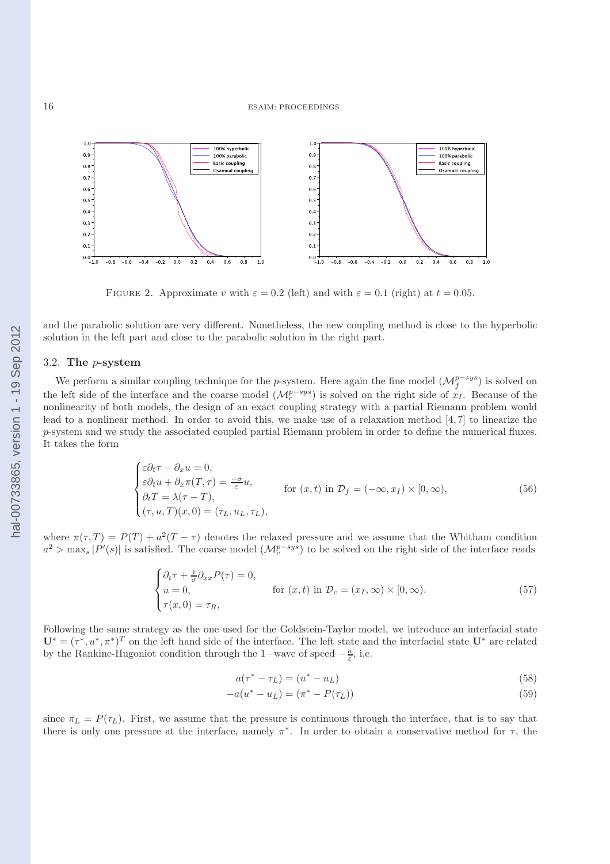

FIGURE 2. Approximate v with  $\varepsilon = 0.2$  (left) and with  $\varepsilon = 0.1$  (right) at  $t = 0.05$ .

and the parabolic solution are very different. Nonetheless, the new coupling method is close to the hyperbolic solution in the left part and close to the parabolic solution in the right part.

### 3.2. The p-system

We perform a similar coupling technique for the p-system. Here again the fine model  $(\mathcal{M}_f^{p-sys})$  is solved on the left side of the interface and the coarse model  $(\mathcal{M}_c^{p-sys})$  is solved on the right side of  $x_I$ . Because of the nonlinearity of both models, the design of an exact coupling strategy with a partial Riemann problem would lead to a nonlinear method. In order to avoid this, we make use of a relaxation method [4, 7] to linearize the p-system and we study the associated coupled partial Riemann problem in order to define the numerical fluxes. It takes the form

$$
\begin{cases}\n\varepsilon \partial_t \tau - \partial_x u = 0, \\
\varepsilon \partial_t u + \partial_x \pi(T, \tau) = \frac{-\sigma}{\varepsilon} u, \\
\partial_t T = \lambda(\tau - T), \\
(\tau, u, T)(x, 0) = (\tau_L, u_L, \tau_L),\n\end{cases} \quad \text{for } (x, t) \text{ in } \mathcal{D}_f = (-\infty, x_I) \times [0, \infty),
$$
\n(56)

where  $\pi(\tau, T) = P(T) + a^2(T - \tau)$  denotes the relaxed pressure and we assume that the Whitham condition  $a^2 > \max_s |P'(s)|$  is satisfied. The coarse model  $(\mathcal{M}_c^{p-sys})$  to be solved on the right side of the interface reads

$$
\begin{cases} \partial_t \tau + \frac{1}{\sigma} \partial_{xx} P(\tau) = 0, \\ u = 0, \\ \tau(x, 0) = \tau_R, \end{cases} \quad \text{for } (x, t) \text{ in } \mathcal{D}_c = (x_I, \infty) \times [0, \infty). \tag{57}
$$

Following the same strategy as the one used for the Goldstein-Taylor model, we introduce an interfacial state  $\mathbf{U}^* = (\tau^*, u^*, \pi^*)^T$  on the left hand side of the interface. The left state and the interfacial state  $\mathbf{U}^*$  are related by the Rankine-Hugoniot condition through the 1–wave of speed  $-\frac{a}{\varepsilon}$ , i.e.

$$
a(\tau^* - \tau_L) = (u^* - u_L) \tag{58}
$$

$$
-a(u^* - u_L) = (\pi^* - P(\tau_L))
$$
\n(59)

since  $\pi_L = P(\tau_L)$ . First, we assume that the pressure is continuous through the interface, that is to say that there is only one pressure at the interface, namely  $\pi^*$ . In order to obtain a conservative method for  $\tau$ , the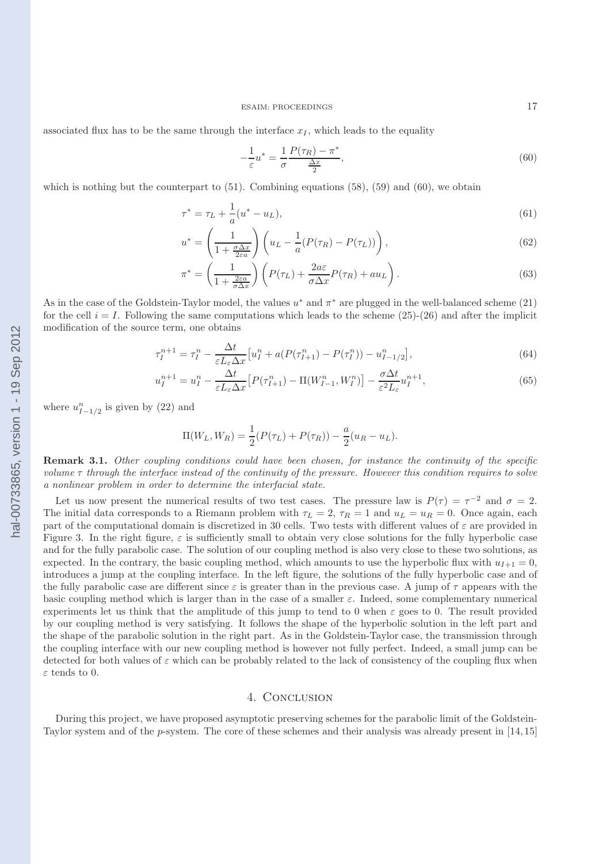$$
-\frac{1}{\varepsilon}u^* = \frac{1}{\sigma}\frac{P(\tau_R) - \pi^*}{\frac{\Delta x}{2}},\tag{60}
$$

which is nothing but the counterpart to  $(51)$ . Combining equations  $(58)$ ,  $(59)$  and  $(60)$ , we obtain

$$
\tau^* = \tau_L + \frac{1}{a}(u^* - u_L),\tag{61}
$$

$$
u^* = \left(\frac{1}{1 + \frac{\sigma \Delta x}{2\varepsilon a}}\right) \left(u_L - \frac{1}{a}(P(\tau_R) - P(\tau_L))\right),\tag{62}
$$

$$
\pi^* = \left(\frac{1}{1 + \frac{2\varepsilon a}{\sigma \Delta x}}\right) \left(P(\tau_L) + \frac{2a\varepsilon}{\sigma \Delta x}P(\tau_R) + au_L\right). \tag{63}
$$

As in the case of the Goldstein-Taylor model, the values  $u^*$  and  $\pi^*$  are plugged in the well-balanced scheme (21) for the cell  $i = I$ . Following the same computations which leads to the scheme (25)-(26) and after the implicit modification of the source term, one obtains

$$
\tau_I^{n+1} = \tau_I^n - \frac{\Delta t}{\varepsilon L_\varepsilon \Delta x} \left[ u_I^n + a(P(\tau_{I+1}^n) - P(\tau_I^n)) - u_{I-1/2}^n \right],\tag{64}
$$

$$
u_I^{n+1} = u_I^n - \frac{\Delta t}{\varepsilon L_\varepsilon \Delta x} \left[ P(\tau_{I+1}^n) - \Pi(W_{I-1}^n, W_I^n) \right] - \frac{\sigma \Delta t}{\varepsilon^2 L_\varepsilon} u_I^{n+1},\tag{65}
$$

where  $u_{I-1/2}^n$  is given by (22) and

$$
\Pi(W_L, W_R) = \frac{1}{2}(P(\tau_L) + P(\tau_R)) - \frac{a}{2}(u_R - u_L).
$$

Remark 3.1. *Other coupling conditions could have been chosen, for instance the continuity of the specific volume* τ *through the interface instead of the continuity of the pressure. However this condition requires to solve a nonlinear problem in order to determine the interfacial state.*

Let us now present the numerical results of two test cases. The pressure law is  $P(\tau) = \tau^{-2}$  and  $\sigma = 2$ . The initial data corresponds to a Riemann problem with  $\tau_L = 2$ ,  $\tau_R = 1$  and  $u_L = u_R = 0$ . Once again, each part of the computational domain is discretized in 30 cells. Two tests with different values of  $\varepsilon$  are provided in Figure 3. In the right figure,  $\varepsilon$  is sufficiently small to obtain very close solutions for the fully hyperbolic case and for the fully parabolic case. The solution of our coupling method is also very close to these two solutions, as expected. In the contrary, the basic coupling method, which amounts to use the hyperbolic flux with  $u_{I+1} = 0$ , introduces a jump at the coupling interface. In the left figure, the solutions of the fully hyperbolic case and of the fully parabolic case are different since  $\varepsilon$  is greater than in the previous case. A jump of  $\tau$  appears with the basic coupling method which is larger than in the case of a smaller  $\varepsilon$ . Indeed, some complementary numerical experiments let us think that the amplitude of this jump to tend to 0 when  $\varepsilon$  goes to 0. The result provided by our coupling method is very satisfying. It follows the shape of the hyperbolic solution in the left part and the shape of the parabolic solution in the right part. As in the Goldstein-Taylor case, the transmission through the coupling interface with our new coupling method is however not fully perfect. Indeed, a small jump can be detected for both values of  $\varepsilon$  which can be probably related to the lack of consistency of the coupling flux when  $\varepsilon$  tends to 0.

## 4. Conclusion

During this project, we have proposed asymptotic preserving schemes for the parabolic limit of the Goldstein-Taylor system and of the p-system. The core of these schemes and their analysis was already present in  $[14, 15]$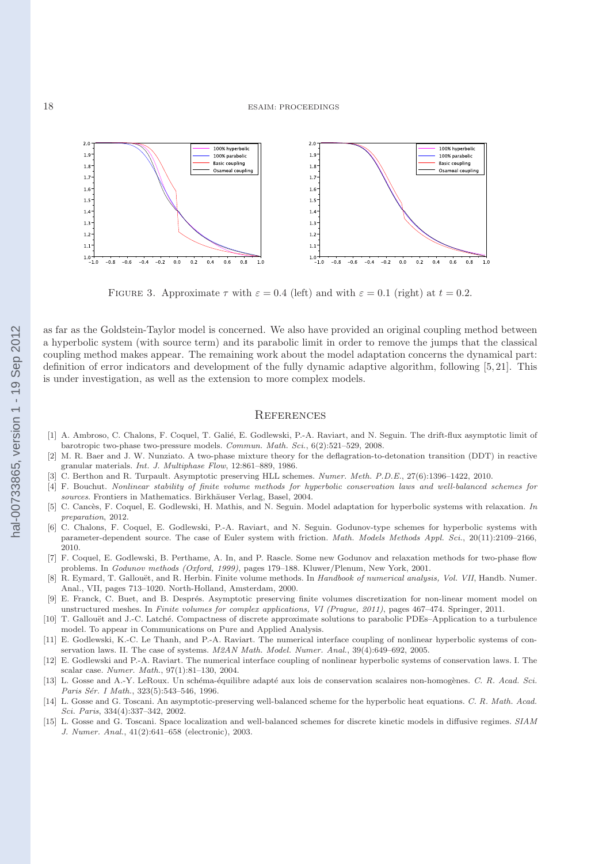

FIGURE 3. Approximate  $\tau$  with  $\varepsilon = 0.4$  (left) and with  $\varepsilon = 0.1$  (right) at  $t = 0.2$ .

as far as the Goldstein-Taylor model is concerned. We also have provided an original coupling method between a hyperbolic system (with source term) and its parabolic limit in order to remove the jumps that the classical coupling method makes appear. The remaining work about the model adaptation concerns the dynamical part: definition of error indicators and development of the fully dynamic adaptive algorithm, following [5, 21]. This is under investigation, as well as the extension to more complex models.

#### **REFERENCES**

- [1] A. Ambroso, C. Chalons, F. Coquel, T. Galié, E. Godlewski, P.-A. Raviart, and N. Seguin. The drift-flux asymptotic limit of barotropic two-phase two-pressure models. Commun. Math. Sci., 6(2):521–529, 2008.
- [2] M. R. Baer and J. W. Nunziato. A two-phase mixture theory for the deflagration-to-detonation transition (DDT) in reactive granular materials. Int. J. Multiphase Flow, 12:861–889, 1986.
- [3] C. Berthon and R. Turpault. Asymptotic preserving HLL schemes. Numer. Meth. P.D.E., 27(6):1396–1422, 2010.
- [4] F. Bouchut. Nonlinear stability of finite volume methods for hyperbolic conservation laws and well-balanced schemes for sources. Frontiers in Mathematics. Birkhäuser Verlag, Basel, 2004.
- C. Cancès, F. Coquel, E. Godlewski, H. Mathis, and N. Seguin. Model adaptation for hyperbolic systems with relaxation. In preparation, 2012.
- [6] C. Chalons, F. Coquel, E. Godlewski, P.-A. Raviart, and N. Seguin. Godunov-type schemes for hyperbolic systems with parameter-dependent source. The case of Euler system with friction. Math. Models Methods Appl. Sci., 20(11):2109–2166, 2010.
- [7] F. Coquel, E. Godlewski, B. Perthame, A. In, and P. Rascle. Some new Godunov and relaxation methods for two-phase flow problems. In Godunov methods (Oxford, 1999), pages 179–188. Kluwer/Plenum, New York, 2001.
- R. Eymard, T. Gallouët, and R. Herbin. Finite volume methods. In Handbook of numerical analysis, Vol. VII, Handb. Numer. Anal., VII, pages 713–1020. North-Holland, Amsterdam, 2000.
- [9] E. Franck, C. Buet, and B. Després. Asymptotic preserving finite volumes discretization for non-linear moment model on unstructured meshes. In Finite volumes for complex applications, VI (Prague, 2011), pages 467–474. Springer, 2011.
- [10] T. Gallouët and J.-C. Latché. Compactness of discrete approximate solutions to parabolic PDEs–Application to a turbulence model. To appear in Communications on Pure and Applied Analysis.
- [11] E. Godlewski, K.-C. Le Thanh, and P.-A. Raviart. The numerical interface coupling of nonlinear hyperbolic systems of conservation laws. II. The case of systems. M2AN Math. Model. Numer. Anal., 39(4):649–692, 2005.
- [12] E. Godlewski and P.-A. Raviart. The numerical interface coupling of nonlinear hyperbolic systems of conservation laws. I. The scalar case. Numer. Math., 97(1):81–130, 2004.
- [13] L. Gosse and A.-Y. LeRoux. Un schéma-équilibre adapté aux lois de conservation scalaires non-homogènes. C. R. Acad. Sci. Paris Sér. I Math., 323(5):543-546, 1996.
- [14] L. Gosse and G. Toscani. An asymptotic-preserving well-balanced scheme for the hyperbolic heat equations. C. R. Math. Acad. Sci. Paris, 334(4):337–342, 2002.
- [15] L. Gosse and G. Toscani. Space localization and well-balanced schemes for discrete kinetic models in diffusive regimes. SIAM J. Numer. Anal., 41(2):641–658 (electronic), 2003.